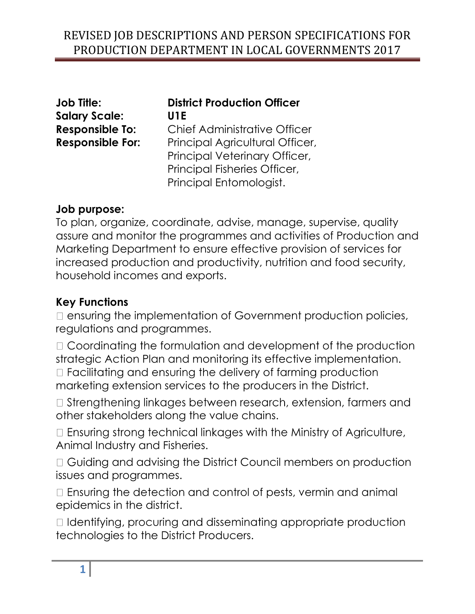| <b>Job Title:</b>       | <b>District Production Officer</b>  |
|-------------------------|-------------------------------------|
| <b>Salary Scale:</b>    | U1E                                 |
| <b>Responsible To:</b>  | <b>Chief Administrative Officer</b> |
| <b>Responsible For:</b> | Principal Agricultural Officer,     |
|                         | Principal Veterinary Officer,       |
|                         | Principal Fisheries Officer,        |
|                         | Principal Entomologist.             |

## **Job purpose:**

To plan, organize, coordinate, advise, manage, supervise, quality assure and monitor the programmes and activities of Production and Marketing Department to ensure effective provision of services for increased production and productivity, nutrition and food security, household incomes and exports.

## **Key Functions**

 $\Box$  ensuring the implementation of Government production policies, regulations and programmes.

□ Coordinating the formulation and development of the production strategic Action Plan and monitoring its effective implementation. □ Facilitating and ensuring the delivery of farming production marketing extension services to the producers in the District.

□ Strengthening linkages between research, extension, farmers and other stakeholders along the value chains.

□ Ensuring strong technical linkages with the Ministry of Agriculture, Animal Industry and Fisheries.

 $\Box$  Guiding and advising the District Council members on production issues and programmes.

□ Ensuring the detection and control of pests, vermin and animal epidemics in the district.

I Identifying, procuring and disseminating appropriate production technologies to the District Producers.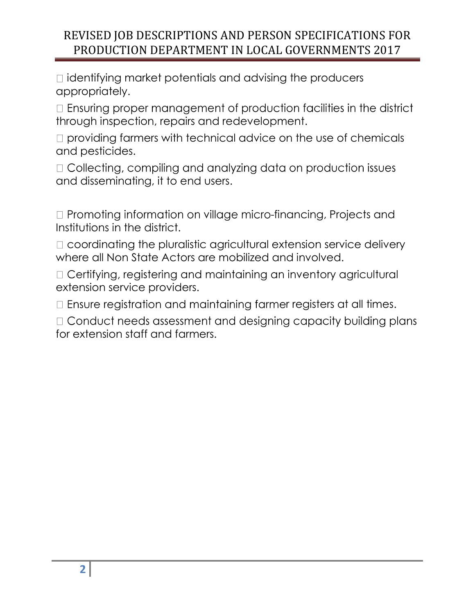$\Box$  identifying market potentials and advising the producers appropriately.

□ Ensuring proper management of production facilities in the district through inspection, repairs and redevelopment.

 $\square$  providing farmers with technical advice on the use of chemicals and pesticides.

□ Collecting, compiling and analyzing data on production issues and disseminating, it to end users.

□ Promoting information on village micro-financing, Projects and Institutions in the district.

□ coordinating the pluralistic agricultural extension service delivery where all Non State Actors are mobilized and involved.

□ Certifying, registering and maintaining an inventory agricultural extension service providers.

 $\Box$  Ensure registration and maintaining farmer registers at all times.

□ Conduct needs assessment and designing capacity building plans for extension staff and farmers.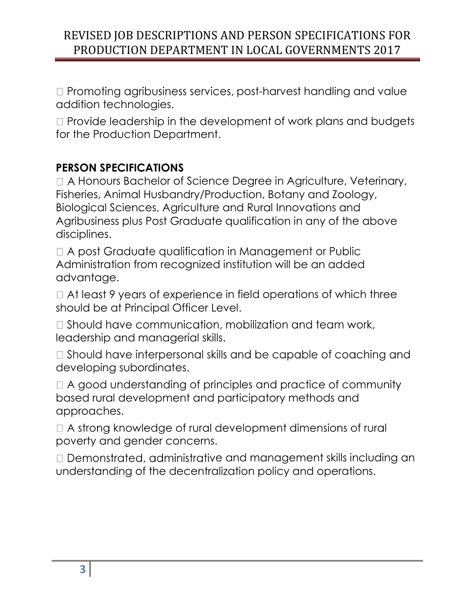$\Box$  Promoting agribusiness services, post-harvest handling and value addition technologies.

 $\Box$  Provide leadership in the development of work plans and budgets for the Production Department.

## **PERSON SPECIFICATIONS**

□ A Honours Bachelor of Science Degree in Agriculture, Veterinary, Fisheries, Animal Husbandry/Production, Botany and Zoology, Biological Sciences, Agriculture and Rural Innovations and Agribusiness plus Post Graduate qualification in any of the above disciplines.

□ A post Graduate qualification in Management or Public Administration from recognized institution will be an added advantage.

 $\Box$  At least 9 years of experience in field operations of which three should be at Principal Officer Level.

□ Should have communication, mobilization and team work, leadership and managerial skills.

□ Should have interpersonal skills and be capable of coaching and developing subordinates.

□ A good understanding of principles and practice of community based rural development and participatory methods and approaches.

□ A strong knowledge of rural development dimensions of rural poverty and gender concerns.

 $\Box$  Demonstrated, administrative and management skills including an understanding of the decentralization policy and operations.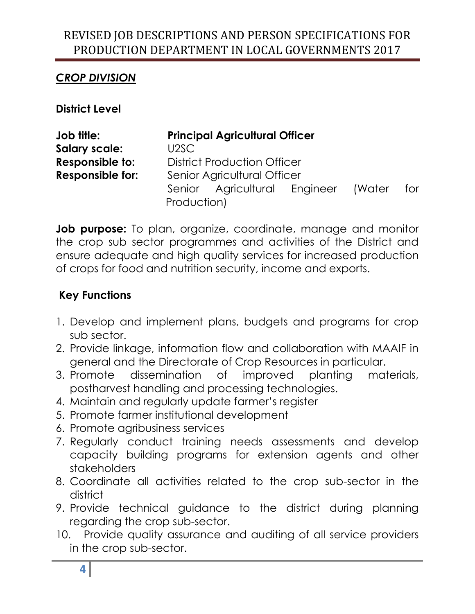## *CROP DIVISION*

**District Level**

| Job title:              | <b>Principal Agricultural Officer</b> |        |     |
|-------------------------|---------------------------------------|--------|-----|
| <b>Salary scale:</b>    | U2SC                                  |        |     |
| Responsible to:         | <b>District Production Officer</b>    |        |     |
| <b>Responsible for:</b> | Senior Agricultural Officer           |        |     |
|                         | Senior Agricultural Engineer          | (Water | for |
|                         | Production)                           |        |     |

**Job purpose:** To plan, organize, coordinate, manage and monitor the crop sub sector programmes and activities of the District and ensure adequate and high quality services for increased production of crops for food and nutrition security, income and exports.

- 1. Develop and implement plans, budgets and programs for crop sub sector.
- 2. Provide linkage, information flow and collaboration with MAAIF in general and the Directorate of Crop Resources in particular.
- 3. Promote dissemination of improved planting materials, postharvest handling and processing technologies.
- 4. Maintain and regularly update farmer's register
- 5. Promote farmer institutional development
- 6. Promote agribusiness services
- 7. Regularly conduct training needs assessments and develop capacity building programs for extension agents and other stakeholders
- 8. Coordinate all activities related to the crop sub-sector in the district
- 9. Provide technical guidance to the district during planning regarding the crop sub-sector.
- 10. Provide quality assurance and auditing of all service providers in the crop sub-sector.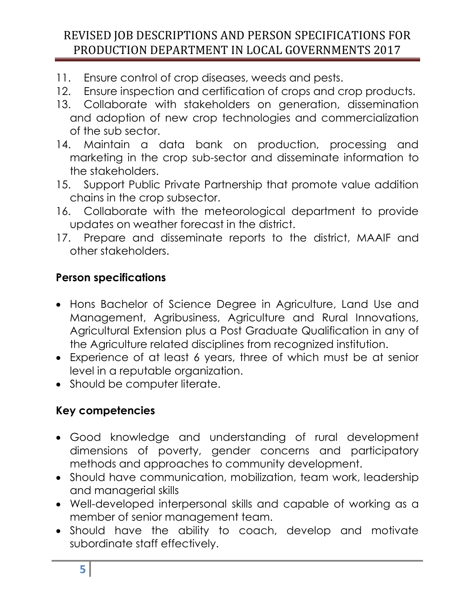- 11. Ensure control of crop diseases, weeds and pests.
- 12. Ensure inspection and certification of crops and crop products.
- 13. Collaborate with stakeholders on generation, dissemination and adoption of new crop technologies and commercialization of the sub sector.
- 14. Maintain a data bank on production, processing and marketing in the crop sub-sector and disseminate information to the stakeholders.
- 15. Support Public Private Partnership that promote value addition chains in the crop subsector.
- 16. Collaborate with the meteorological department to provide updates on weather forecast in the district.
- 17. Prepare and disseminate reports to the district, MAAIF and other stakeholders.

## **Person specifications**

- Hons Bachelor of Science Degree in Agriculture, Land Use and Management, Agribusiness, Agriculture and Rural Innovations, Agricultural Extension plus a Post Graduate Qualification in any of the Agriculture related disciplines from recognized institution.
- Experience of at least 6 years, three of which must be at senior level in a reputable organization.
- Should be computer literate.

- Good knowledge and understanding of rural development dimensions of poverty, gender concerns and participatory methods and approaches to community development.
- Should have communication, mobilization, team work, leadership and managerial skills
- Well-developed interpersonal skills and capable of working as a member of senior management team.
- Should have the ability to coach, develop and motivate subordinate staff effectively.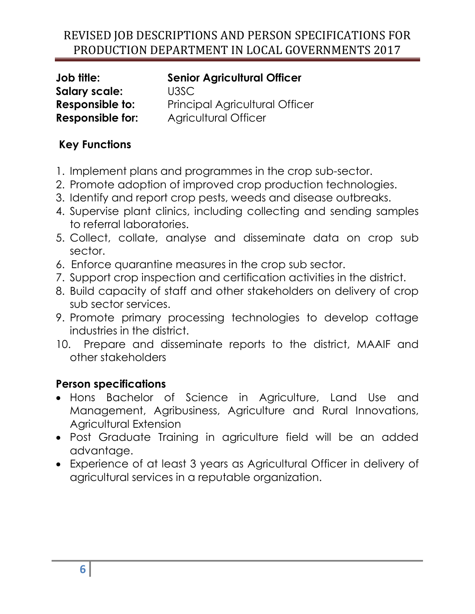**Salary scale:** U3SC

**Job title: Senior Agricultural Officer Responsible to:** Principal Agricultural Officer **Responsible for:** Agricultural Officer

## **Key Functions**

- 1. Implement plans and programmes in the crop sub-sector.
- 2. Promote adoption of improved crop production technologies.
- 3. Identify and report crop pests, weeds and disease outbreaks.
- 4. Supervise plant clinics, including collecting and sending samples to referral laboratories.
- 5. Collect, collate, analyse and disseminate data on crop sub sector.
- 6. Enforce quarantine measures in the crop sub sector.
- 7. Support crop inspection and certification activities in the district.
- 8. Build capacity of staff and other stakeholders on delivery of crop sub sector services.
- 9. Promote primary processing technologies to develop cottage industries in the district.
- 10. Prepare and disseminate reports to the district, MAAIF and other stakeholders

## **Person specifications**

- Hons Bachelor of Science in Agriculture, Land Use and Management, Agribusiness, Agriculture and Rural Innovations, Agricultural Extension
- Post Graduate Training in agriculture field will be an added advantage.
- Experience of at least 3 years as Agricultural Officer in delivery of agricultural services in a reputable organization.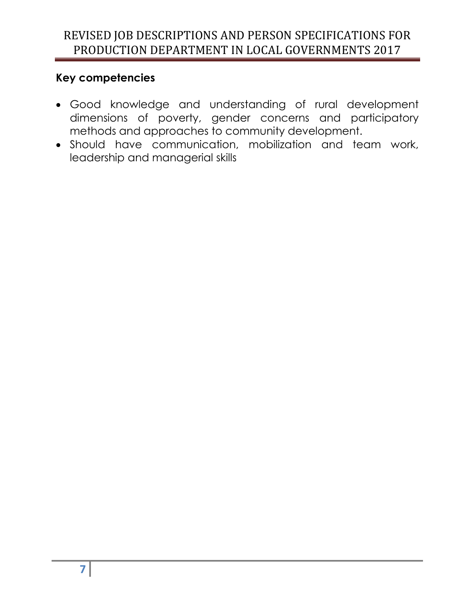- Good knowledge and understanding of rural development dimensions of poverty, gender concerns and participatory methods and approaches to community development.
- Should have communication, mobilization and team work, leadership and managerial skills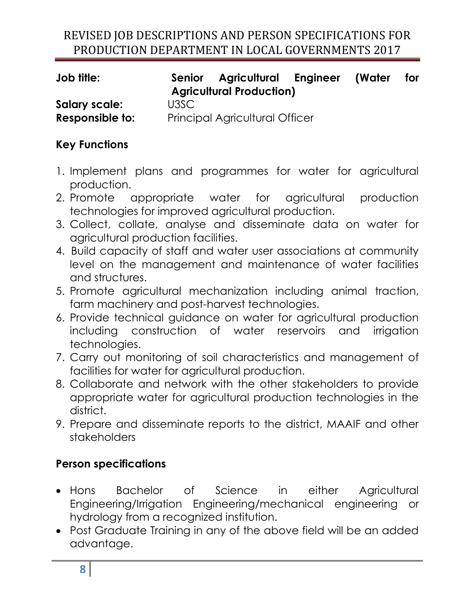| Job title:      |      | Senior Agricultural Engineer<br><b>Agricultural Production)</b> | (Water | for |
|-----------------|------|-----------------------------------------------------------------|--------|-----|
| Salary scale:   | U3SC |                                                                 |        |     |
| Responsible to: |      | <b>Principal Agricultural Officer</b>                           |        |     |

## **Key Functions**

- 1. Implement plans and programmes for water for agricultural production.
- 2. Promote appropriate water for agricultural production technologies for improved agricultural production.
- 3. Collect, collate, analyse and disseminate data on water for agricultural production facilities.
- 4. Build capacity of staff and water user associations at community level on the management and maintenance of water facilities and structures.
- 5. Promote agricultural mechanization including animal traction, farm machinery and post-harvest technologies.
- 6. Provide technical guidance on water for agricultural production including construction of water reservoirs and irrigation technologies.
- 7. Carry out monitoring of soil characteristics and management of facilities for water for agricultural production.
- 8. Collaborate and network with the other stakeholders to provide appropriate water for agricultural production technologies in the district.
- 9. Prepare and disseminate reports to the district, MAAIF and other stakeholders

## **Person specifications**

- Hons Bachelor of Science in either Agricultural Engineering/Irrigation Engineering/mechanical engineering or hydrology from a recognized institution.
- Post Graduate Training in any of the above field will be an added advantage.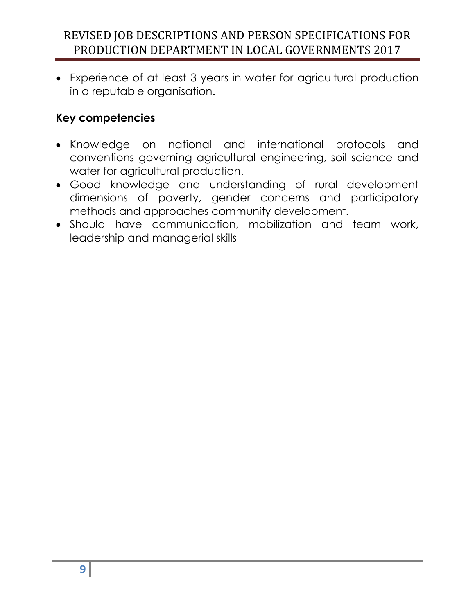Experience of at least 3 years in water for agricultural production in a reputable organisation.

- Knowledge on national and international protocols and conventions governing agricultural engineering, soil science and water for agricultural production.
- Good knowledge and understanding of rural development dimensions of poverty, gender concerns and participatory methods and approaches community development.
- Should have communication, mobilization and team work, leadership and managerial skills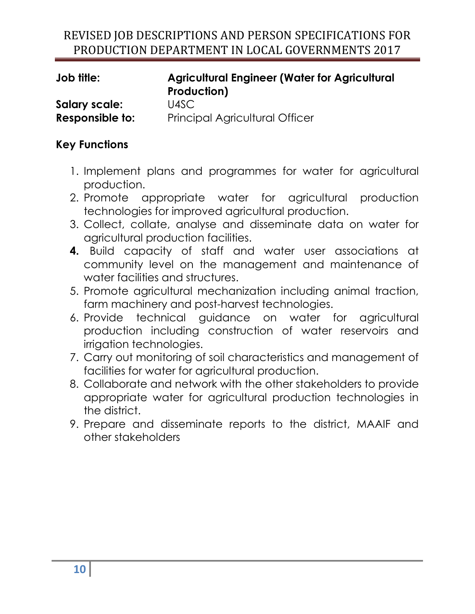| <b>Job title:</b> | <b>Agricultural Engineer (Water for Agricultural</b><br>Production) |
|-------------------|---------------------------------------------------------------------|
| Salary scale:     | U4SC                                                                |
| Responsible to:   | <b>Principal Agricultural Officer</b>                               |

- 1. Implement plans and programmes for water for agricultural production.
- 2. Promote appropriate water for agricultural production technologies for improved agricultural production.
- 3. Collect, collate, analyse and disseminate data on water for agricultural production facilities.
- **4.** Build capacity of staff and water user associations at community level on the management and maintenance of water facilities and structures.
- 5. Promote agricultural mechanization including animal traction, farm machinery and post-harvest technologies.
- 6. Provide technical guidance on water for agricultural production including construction of water reservoirs and irrigation technologies.
- 7. Carry out monitoring of soil characteristics and management of facilities for water for agricultural production.
- 8. Collaborate and network with the other stakeholders to provide appropriate water for agricultural production technologies in the district.
- 9. Prepare and disseminate reports to the district, MAAIF and other stakeholders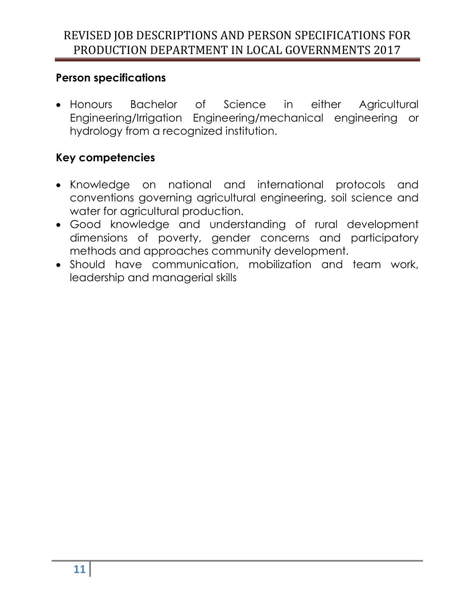#### **Person specifications**

 Honours Bachelor of Science in either Agricultural Engineering/Irrigation Engineering/mechanical engineering or hydrology from a recognized institution.

- Knowledge on national and international protocols and conventions governing agricultural engineering, soil science and water for agricultural production.
- Good knowledge and understanding of rural development dimensions of poverty, gender concerns and participatory methods and approaches community development.
- Should have communication, mobilization and team work, leadership and managerial skills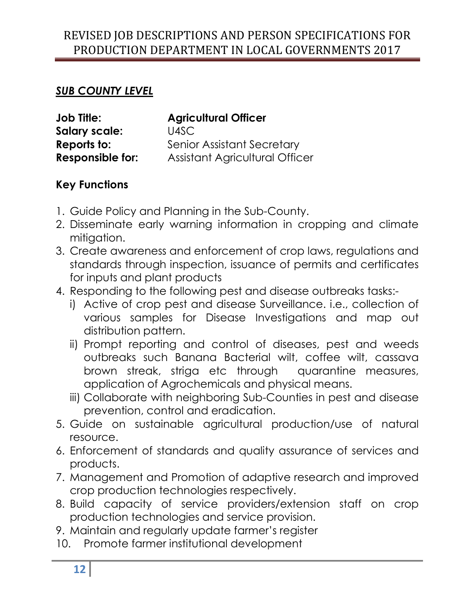#### *SUB COUNTY LEVEL*

| <b>Job Title:</b>       | <b>Agricultural Officer</b>       |
|-------------------------|-----------------------------------|
| <b>Salary scale:</b>    | U4SC                              |
| Reports to:             | <b>Senior Assistant Secretary</b> |
| <b>Responsible for:</b> | Assistant Agricultural Officer    |

- 1. Guide Policy and Planning in the Sub-County.
- 2. Disseminate early warning information in cropping and climate mitigation.
- 3. Create awareness and enforcement of crop laws, regulations and standards through inspection, issuance of permits and certificates for inputs and plant products
- 4. Responding to the following pest and disease outbreaks tasks:
	- i) Active of crop pest and disease Surveillance. i.e., collection of various samples for Disease Investigations and map out distribution pattern.
	- ii) Prompt reporting and control of diseases, pest and weeds outbreaks such Banana Bacterial wilt, coffee wilt, cassava brown streak, striga etc through quarantine measures, application of Agrochemicals and physical means.
	- iii) Collaborate with neighboring Sub-Counties in pest and disease prevention, control and eradication.
- 5. Guide on sustainable agricultural production/use of natural resource.
- 6. Enforcement of standards and quality assurance of services and products.
- 7. Management and Promotion of adaptive research and improved crop production technologies respectively.
- 8. Build capacity of service providers/extension staff on crop production technologies and service provision.
- 9. Maintain and regularly update farmer's register
- 10. Promote farmer institutional development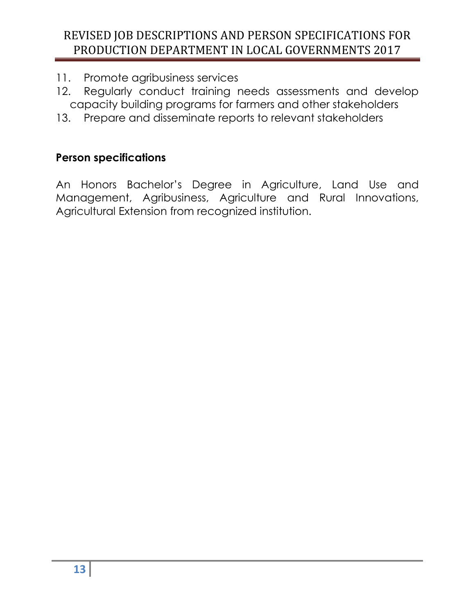- 11. Promote agribusiness services
- 12. Regularly conduct training needs assessments and develop capacity building programs for farmers and other stakeholders
- 13. Prepare and disseminate reports to relevant stakeholders

#### **Person specifications**

An Honors Bachelor's Degree in Agriculture, Land Use and Management, Agribusiness, Agriculture and Rural Innovations, Agricultural Extension from recognized institution.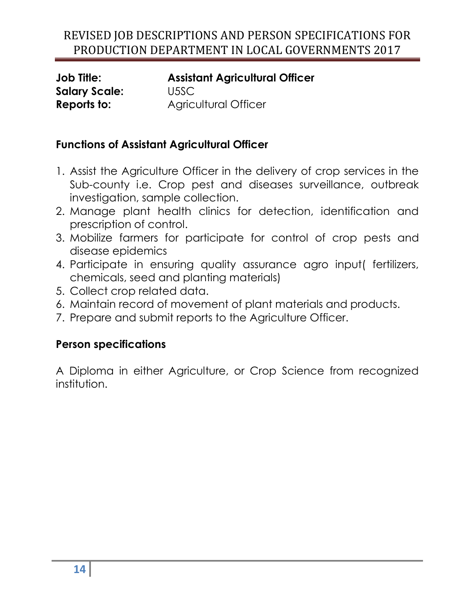**Salary Scale:** U5SC

**Job Title: Assistant Agricultural Officer Reports to: Agricultural Officer** 

## **Functions of Assistant Agricultural Officer**

- 1. Assist the Agriculture Officer in the delivery of crop services in the Sub-county i.e. Crop pest and diseases surveillance, outbreak investigation, sample collection.
- 2. Manage plant health clinics for detection, identification and prescription of control.
- 3. Mobilize farmers for participate for control of crop pests and disease epidemics
- 4. Participate in ensuring quality assurance agro input( fertilizers, chemicals, seed and planting materials)
- 5. Collect crop related data.
- 6. Maintain record of movement of plant materials and products.
- 7. Prepare and submit reports to the Agriculture Officer.

## **Person specifications**

A Diploma in either Agriculture, or Crop Science from recognized institution.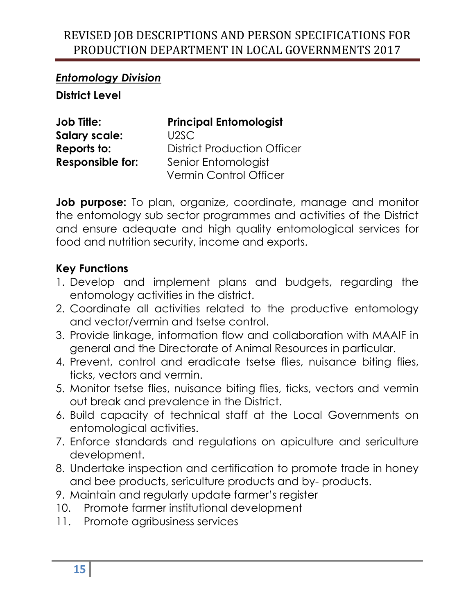#### *Entomology Division*

**District Level**

| <b>Job Title:</b>       | <b>Principal Entomologist</b>      |
|-------------------------|------------------------------------|
| <b>Salary scale:</b>    | U2SC                               |
| Reports to:             | <b>District Production Officer</b> |
| <b>Responsible for:</b> | Senior Entomologist                |
|                         | Vermin Control Officer             |

**Job purpose:** To plan, organize, coordinate, manage and monitor the entomology sub sector programmes and activities of the District and ensure adequate and high quality entomological services for food and nutrition security, income and exports.

- 1. Develop and implement plans and budgets, regarding the entomology activities in the district.
- 2. Coordinate all activities related to the productive entomology and vector/vermin and tsetse control.
- 3. Provide linkage, information flow and collaboration with MAAIF in general and the Directorate of Animal Resources in particular.
- 4. Prevent, control and eradicate tsetse flies, nuisance biting flies, ticks, vectors and vermin.
- 5. Monitor tsetse flies, nuisance biting flies, ticks, vectors and vermin out break and prevalence in the District.
- 6. Build capacity of technical staff at the Local Governments on entomological activities.
- 7. Enforce standards and regulations on apiculture and sericulture development.
- 8. Undertake inspection and certification to promote trade in honey and bee products, sericulture products and by- products.
- 9. Maintain and regularly update farmer's register
- 10. Promote farmer institutional development
- 11. Promote agribusiness services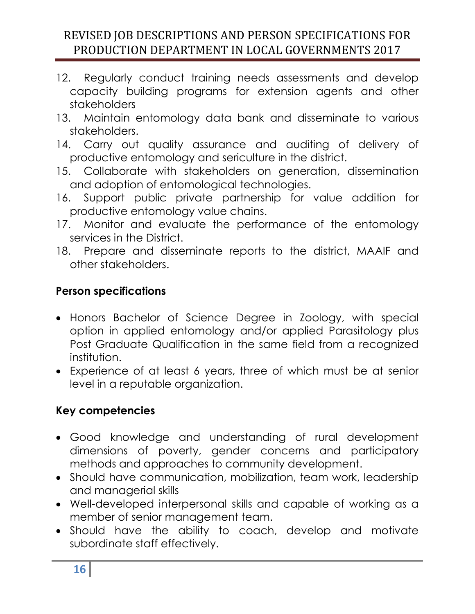- 12. Regularly conduct training needs assessments and develop capacity building programs for extension agents and other stakeholders
- 13. Maintain entomology data bank and disseminate to various stakeholders.
- 14. Carry out quality assurance and auditing of delivery of productive entomology and sericulture in the district.
- 15. Collaborate with stakeholders on generation, dissemination and adoption of entomological technologies.
- 16. Support public private partnership for value addition for productive entomology value chains.
- 17. Monitor and evaluate the performance of the entomology services in the District.
- 18. Prepare and disseminate reports to the district, MAAIF and other stakeholders.

## **Person specifications**

- Honors Bachelor of Science Degree in Zoology, with special option in applied entomology and/or applied Parasitology plus Post Graduate Qualification in the same field from a recognized institution.
- Experience of at least 6 years, three of which must be at senior level in a reputable organization.

- Good knowledge and understanding of rural development dimensions of poverty, gender concerns and participatory methods and approaches to community development.
- Should have communication, mobilization, team work, leadership and managerial skills
- Well-developed interpersonal skills and capable of working as a member of senior management team.
- Should have the ability to coach, develop and motivate subordinate staff effectively.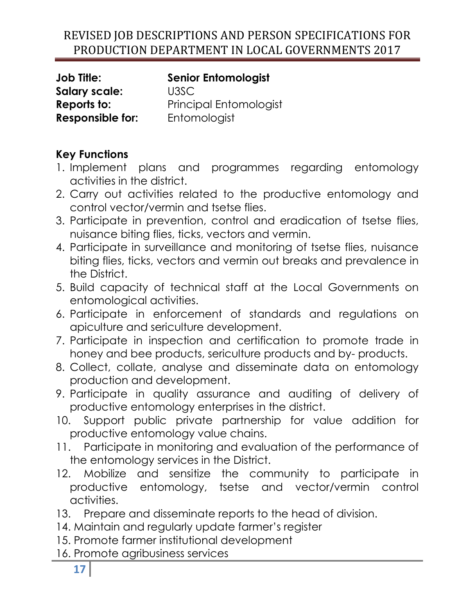**Salary scale:** U3SC **Responsible for:** Entomologist

**Job Title: Senior Entomologist Reports to:** Principal Entomologist

- 1. Implement plans and programmes regarding entomology activities in the district.
- 2. Carry out activities related to the productive entomology and control vector/vermin and tsetse flies.
- 3. Participate in prevention, control and eradication of tsetse flies, nuisance biting flies, ticks, vectors and vermin.
- 4. Participate in surveillance and monitoring of tsetse flies, nuisance biting flies, ticks, vectors and vermin out breaks and prevalence in the District.
- 5. Build capacity of technical staff at the Local Governments on entomological activities.
- 6. Participate in enforcement of standards and regulations on apiculture and sericulture development.
- 7. Participate in inspection and certification to promote trade in honey and bee products, sericulture products and by- products.
- 8. Collect, collate, analyse and disseminate data on entomology production and development.
- 9. Participate in quality assurance and auditing of delivery of productive entomology enterprises in the district.
- 10. Support public private partnership for value addition for productive entomology value chains.
- 11. Participate in monitoring and evaluation of the performance of the entomology services in the District.
- 12. Mobilize and sensitize the community to participate in productive entomology, tsetse and vector/vermin control activities.
- 13. Prepare and disseminate reports to the head of division.
- 14. Maintain and regularly update farmer's register
- 15. Promote farmer institutional development
- 16. Promote agribusiness services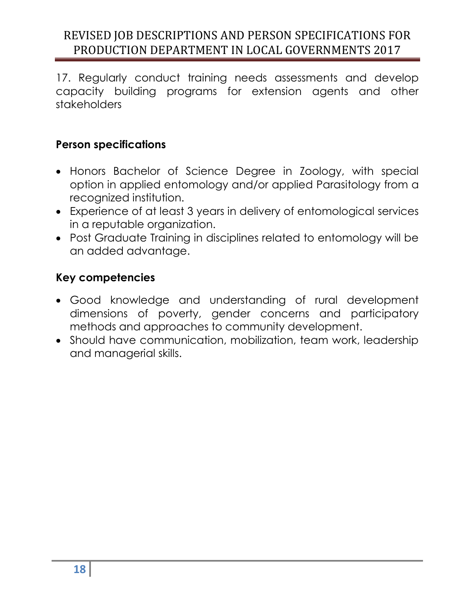17. Regularly conduct training needs assessments and develop capacity building programs for extension agents and other stakeholders

#### **Person specifications**

- Honors Bachelor of Science Degree in Zoology, with special option in applied entomology and/or applied Parasitology from a recognized institution.
- Experience of at least 3 years in delivery of entomological services in a reputable organization.
- Post Graduate Training in disciplines related to entomology will be an added advantage.

- Good knowledge and understanding of rural development dimensions of poverty, gender concerns and participatory methods and approaches to community development.
- Should have communication, mobilization, team work, leadership and managerial skills.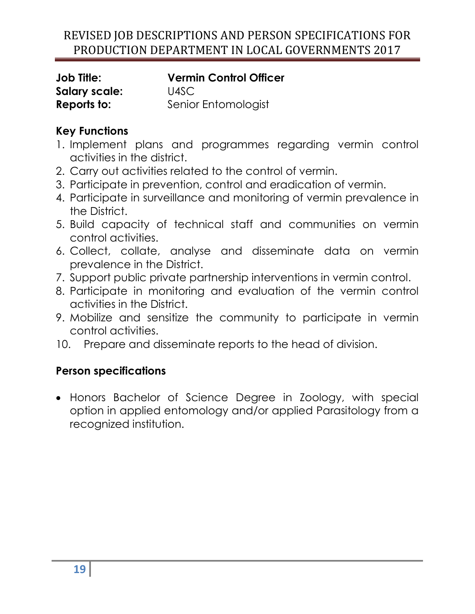| <b>Job Title:</b>    | <b>Vermin Control Officer</b> |
|----------------------|-------------------------------|
| <b>Salary scale:</b> | U4SC                          |
| Reports to:          | Senior Entomologist           |

## **Key Functions**

- 1. Implement plans and programmes regarding vermin control activities in the district.
- 2. Carry out activities related to the control of vermin.
- 3. Participate in prevention, control and eradication of vermin.
- 4. Participate in surveillance and monitoring of vermin prevalence in the District.
- 5. Build capacity of technical staff and communities on vermin control activities.
- 6. Collect, collate, analyse and disseminate data on vermin prevalence in the District.
- 7. Support public private partnership interventions in vermin control.
- 8. Participate in monitoring and evaluation of the vermin control activities in the District.
- 9. Mobilize and sensitize the community to participate in vermin control activities.
- 10. Prepare and disseminate reports to the head of division.

## **Person specifications**

 Honors Bachelor of Science Degree in Zoology, with special option in applied entomology and/or applied Parasitology from a recognized institution.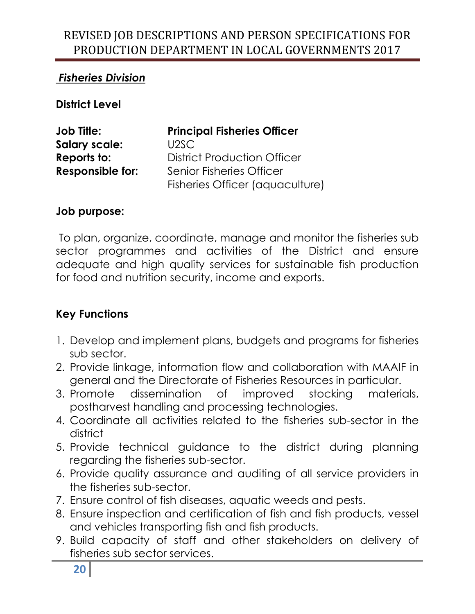## *Fisheries Division*

**District Level**

| <b>Job Title:</b>       | <b>Principal Fisheries Officer</b> |
|-------------------------|------------------------------------|
| <b>Salary scale:</b>    | U2SC                               |
| Reports to:             | <b>District Production Officer</b> |
| <b>Responsible for:</b> | <b>Senior Fisheries Officer</b>    |
|                         | Fisheries Officer (aquaculture)    |

#### **Job purpose:**

To plan, organize, coordinate, manage and monitor the fisheries sub sector programmes and activities of the District and ensure adequate and high quality services for sustainable fish production for food and nutrition security, income and exports.

- 1. Develop and implement plans, budgets and programs for fisheries sub sector.
- 2. Provide linkage, information flow and collaboration with MAAIF in general and the Directorate of Fisheries Resources in particular.
- 3. Promote dissemination of improved stocking materials, postharvest handling and processing technologies.
- 4. Coordinate all activities related to the fisheries sub-sector in the district
- 5. Provide technical guidance to the district during planning regarding the fisheries sub-sector.
- 6. Provide quality assurance and auditing of all service providers in the fisheries sub-sector.
- 7. Ensure control of fish diseases, aquatic weeds and pests.
- 8. Ensure inspection and certification of fish and fish products, vessel and vehicles transporting fish and fish products.
- 9. Build capacity of staff and other stakeholders on delivery of fisheries sub sector services.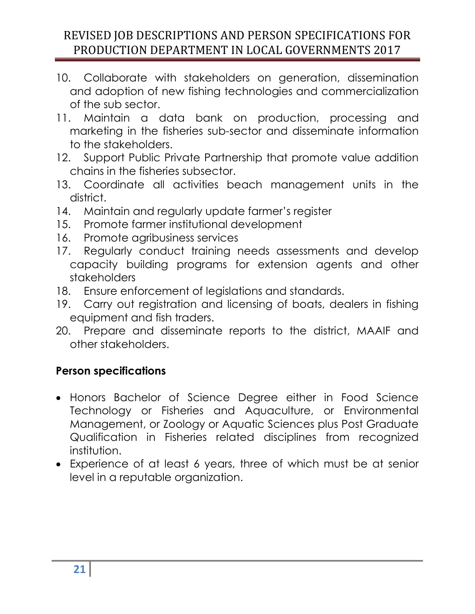- 10. Collaborate with stakeholders on generation, dissemination and adoption of new fishing technologies and commercialization of the sub sector.
- 11. Maintain a data bank on production, processing and marketing in the fisheries sub-sector and disseminate information to the stakeholders.
- 12. Support Public Private Partnership that promote value addition chains in the fisheries subsector.
- 13. Coordinate all activities beach management units in the district.
- 14. Maintain and regularly update farmer's register
- 15. Promote farmer institutional development
- 16. Promote agribusiness services
- 17. Regularly conduct training needs assessments and develop capacity building programs for extension agents and other stakeholders
- 18. Ensure enforcement of legislations and standards.
- 19. Carry out registration and licensing of boats, dealers in fishing equipment and fish traders.
- 20. Prepare and disseminate reports to the district, MAAIF and other stakeholders.

## **Person specifications**

- Honors Bachelor of Science Degree either in Food Science Technology or Fisheries and Aquaculture, or Environmental Management, or Zoology or Aquatic Sciences plus Post Graduate Qualification in Fisheries related disciplines from recognized institution.
- Experience of at least 6 years, three of which must be at senior level in a reputable organization.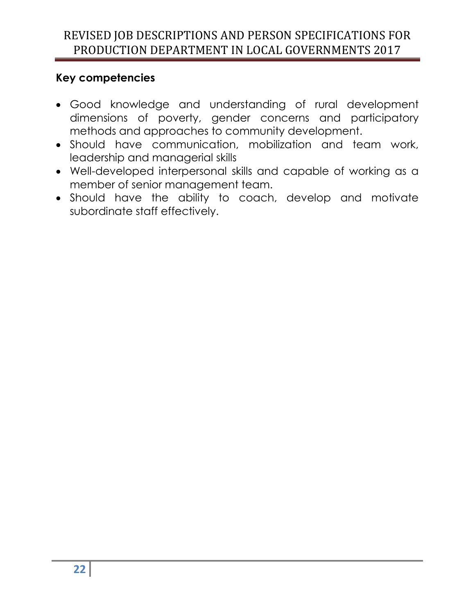- Good knowledge and understanding of rural development dimensions of poverty, gender concerns and participatory methods and approaches to community development.
- Should have communication, mobilization and team work, leadership and managerial skills
- Well-developed interpersonal skills and capable of working as a member of senior management team.
- Should have the ability to coach, develop and motivate subordinate staff effectively.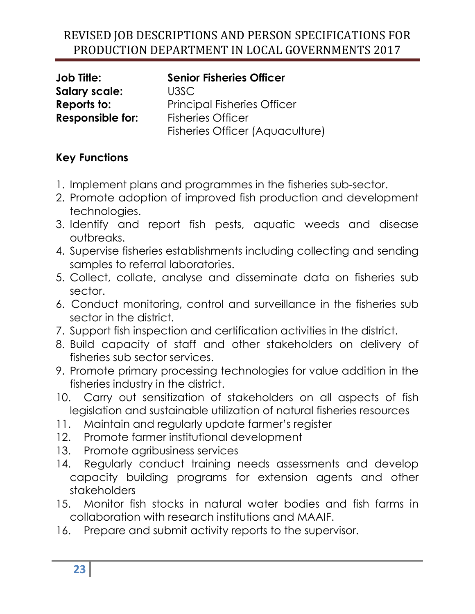**Salary scale:** U3SC **Responsible for:** Fisheries Officer

**Job Title: Senior Fisheries Officer Reports to:** Principal Fisheries Officer Fisheries Officer (Aquaculture)

- 1. Implement plans and programmes in the fisheries sub-sector.
- 2. Promote adoption of improved fish production and development technologies.
- 3. Identify and report fish pests, aquatic weeds and disease outbreaks.
- 4. Supervise fisheries establishments including collecting and sending samples to referral laboratories.
- 5. Collect, collate, analyse and disseminate data on fisheries sub sector.
- 6. Conduct monitoring, control and surveillance in the fisheries sub sector in the district.
- 7. Support fish inspection and certification activities in the district.
- 8. Build capacity of staff and other stakeholders on delivery of fisheries sub sector services.
- 9. Promote primary processing technologies for value addition in the fisheries industry in the district.
- 10. Carry out sensitization of stakeholders on all aspects of fish legislation and sustainable utilization of natural fisheries resources
- 11. Maintain and regularly update farmer's register
- 12. Promote farmer institutional development
- 13. Promote agribusiness services
- 14. Regularly conduct training needs assessments and develop capacity building programs for extension agents and other stakeholders
- 15. Monitor fish stocks in natural water bodies and fish farms in collaboration with research institutions and MAAIF.
- 16. Prepare and submit activity reports to the supervisor.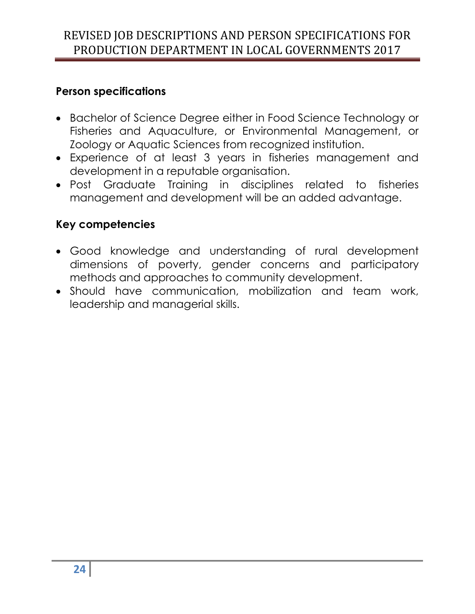#### **Person specifications**

- Bachelor of Science Degree either in Food Science Technology or Fisheries and Aquaculture, or Environmental Management, or Zoology or Aquatic Sciences from recognized institution.
- Experience of at least 3 years in fisheries management and development in a reputable organisation.
- Post Graduate Training in disciplines related to fisheries management and development will be an added advantage.

- Good knowledge and understanding of rural development dimensions of poverty, gender concerns and participatory methods and approaches to community development.
- Should have communication, mobilization and team work, leadership and managerial skills.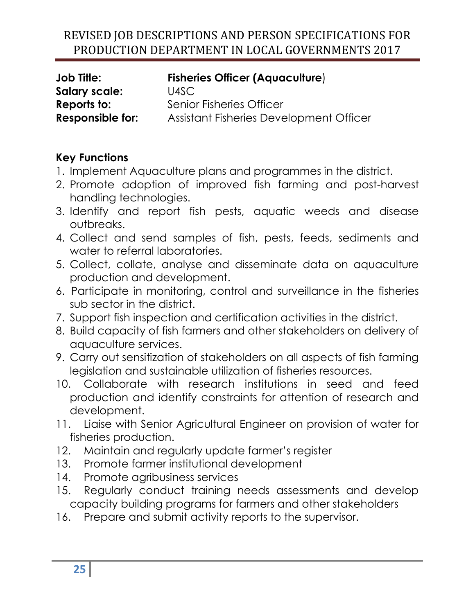| <b>Job Title:</b>       | <b>Fisheries Officer (Aquaculture)</b>  |
|-------------------------|-----------------------------------------|
| <b>Salary scale:</b>    | U4SC                                    |
| Reports to:             | Senior Fisheries Officer                |
| <b>Responsible for:</b> | Assistant Fisheries Development Officer |

- 1. Implement Aquaculture plans and programmes in the district.
- 2. Promote adoption of improved fish farming and post-harvest handling technologies.
- 3. Identify and report fish pests, aquatic weeds and disease outbreaks.
- 4. Collect and send samples of fish, pests, feeds, sediments and water to referral laboratories.
- 5. Collect, collate, analyse and disseminate data on aquaculture production and development.
- 6. Participate in monitoring, control and surveillance in the fisheries sub sector in the district.
- 7. Support fish inspection and certification activities in the district.
- 8. Build capacity of fish farmers and other stakeholders on delivery of aquaculture services.
- 9. Carry out sensitization of stakeholders on all aspects of fish farming legislation and sustainable utilization of fisheries resources.
- 10. Collaborate with research institutions in seed and feed production and identify constraints for attention of research and development.
- 11. Liaise with Senior Agricultural Engineer on provision of water for fisheries production.
- 12. Maintain and regularly update farmer's register
- 13. Promote farmer institutional development
- 14. Promote agribusiness services
- 15. Regularly conduct training needs assessments and develop capacity building programs for farmers and other stakeholders
- 16. Prepare and submit activity reports to the supervisor.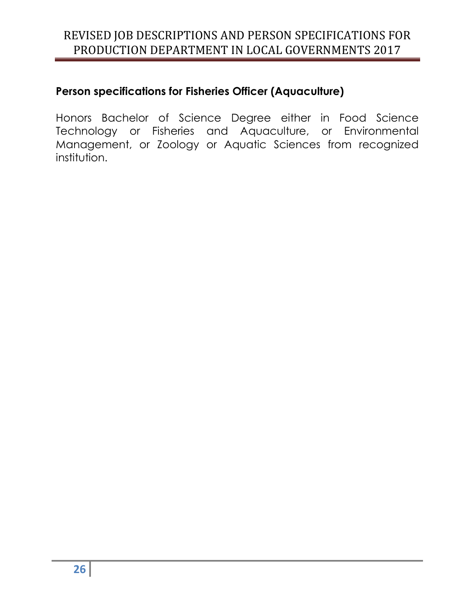## **Person specifications for Fisheries Officer (Aquaculture)**

Honors Bachelor of Science Degree either in Food Science Technology or Fisheries and Aquaculture, or Environmental Management, or Zoology or Aquatic Sciences from recognized institution.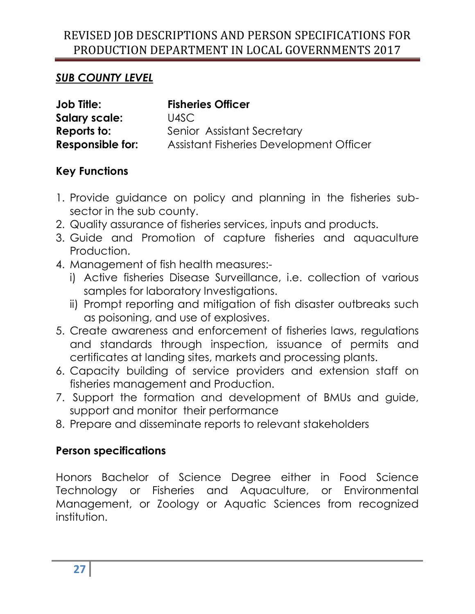## *SUB COUNTY LEVEL*

| <b>Job Title:</b>       | <b>Fisheries Officer</b>                |
|-------------------------|-----------------------------------------|
| <b>Salary scale:</b>    | U4SC                                    |
| Reports to:             | Senior Assistant Secretary              |
| <b>Responsible for:</b> | Assistant Fisheries Development Officer |

## **Key Functions**

- 1. Provide guidance on policy and planning in the fisheries subsector in the sub county.
- 2. Quality assurance of fisheries services, inputs and products.
- 3. Guide and Promotion of capture fisheries and aquaculture Production.
- 4. Management of fish health measures:
	- i) Active fisheries Disease Surveillance, i.e. collection of various samples for laboratory Investigations.
	- ii) Prompt reporting and mitigation of fish disaster outbreaks such as poisoning, and use of explosives.
- 5. Create awareness and enforcement of fisheries laws, regulations and standards through inspection, issuance of permits and certificates at landing sites, markets and processing plants.
- 6. Capacity building of service providers and extension staff on fisheries management and Production.
- 7. Support the formation and development of BMUs and guide, support and monitor their performance
- 8. Prepare and disseminate reports to relevant stakeholders

## **Person specifications**

Honors Bachelor of Science Degree either in Food Science Technology or Fisheries and Aquaculture, or Environmental Management, or Zoology or Aquatic Sciences from recognized institution.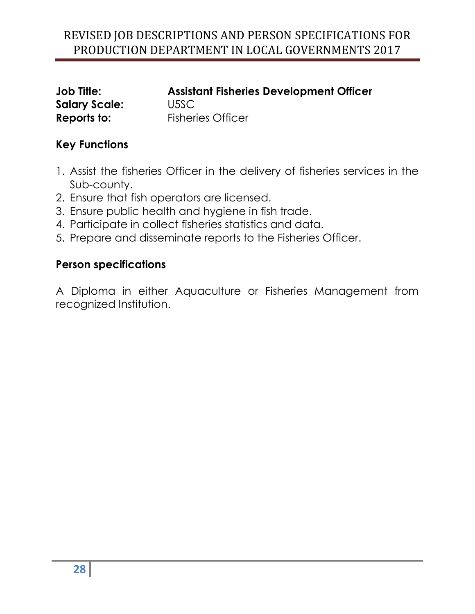| <b>Job Title:</b>    |  |
|----------------------|--|
| <b>Salary Scale:</b> |  |
| Reports to:          |  |

**Assistant Fisheries Development Officer Salary Scale:** U5SC **Fisheries Officer** 

## **Key Functions**

- 1. Assist the fisheries Officer in the delivery of fisheries services in the Sub-county.
- 2. Ensure that fish operators are licensed.
- 3. Ensure public health and hygiene in fish trade.
- 4. Participate in collect fisheries statistics and data.
- 5. Prepare and disseminate reports to the Fisheries Officer.

#### **Person specifications**

A Diploma in either Aquaculture or Fisheries Management from recognized Institution.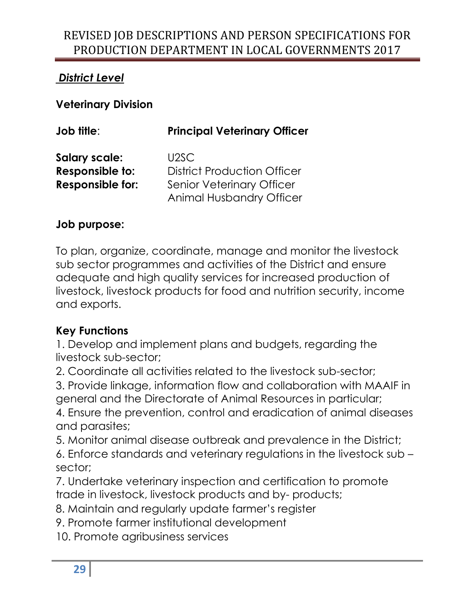## *District Level*

**Veterinary Division** 

| <b>Job title:</b>       | <b>Principal Veterinary Officer</b> |
|-------------------------|-------------------------------------|
| <b>Salary scale:</b>    | U <sub>2</sub> SC                   |
| Responsible to:         | <b>District Production Officer</b>  |
| <b>Responsible for:</b> | <b>Senior Veterinary Officer</b>    |
|                         | <b>Animal Husbandry Officer</b>     |

#### **Job purpose:**

To plan, organize, coordinate, manage and monitor the livestock sub sector programmes and activities of the District and ensure adequate and high quality services for increased production of livestock, livestock products for food and nutrition security, income and exports.

## **Key Functions**

1. Develop and implement plans and budgets, regarding the livestock sub-sector;

2. Coordinate all activities related to the livestock sub-sector;

3. Provide linkage, information flow and collaboration with MAAIF in general and the Directorate of Animal Resources in particular;

4. Ensure the prevention, control and eradication of animal diseases and parasites;

5. Monitor animal disease outbreak and prevalence in the District;

6. Enforce standards and veterinary regulations in the livestock sub – sector;

7. Undertake veterinary inspection and certification to promote trade in livestock, livestock products and by- products;

8. Maintain and regularly update farmer's register

9. Promote farmer institutional development

10. Promote agribusiness services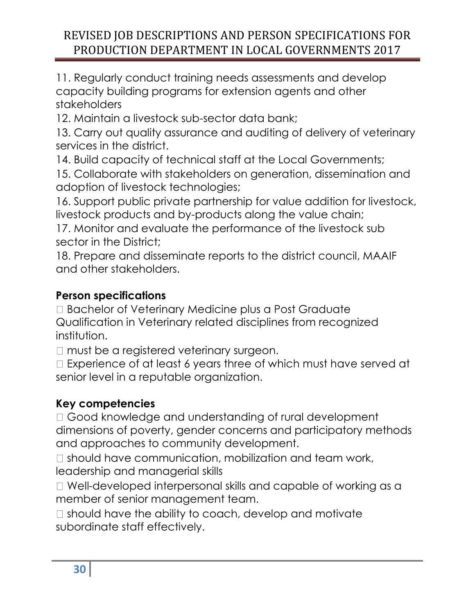11. Regularly conduct training needs assessments and develop capacity building programs for extension agents and other stakeholders

12. Maintain a livestock sub-sector data bank;

13. Carry out quality assurance and auditing of delivery of veterinary services in the district.

14. Build capacity of technical staff at the Local Governments;

15. Collaborate with stakeholders on generation, dissemination and adoption of livestock technologies;

16. Support public private partnership for value addition for livestock, livestock products and by-products along the value chain;

17. Monitor and evaluate the performance of the livestock sub sector in the District;

18. Prepare and disseminate reports to the district council, MAAIF and other stakeholders.

## **Person specifications**

□ Bachelor of Veterinary Medicine plus a Post Graduate Qualification in Veterinary related disciplines from recognized institution.

□ must be a registered veterinary surgeon.

□ Experience of at least 6 years three of which must have served at senior level in a reputable organization.

## **Key competencies**

□ Good knowledge and understanding of rural development dimensions of poverty, gender concerns and participatory methods and approaches to community development.

 $\Box$  should have communication, mobilization and team work, leadership and managerial skills

 $\Box$  Well-developed interpersonal skills and capable of working as a member of senior management team.

 $\Box$  should have the ability to coach, develop and motivate subordinate staff effectively.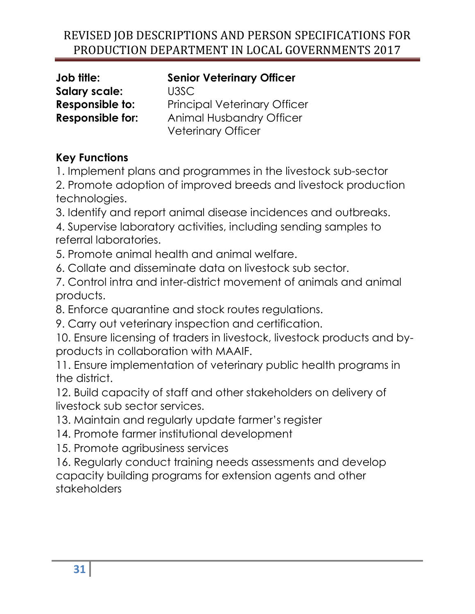## **Senior Veterinary Officer**

**Salary scale:** U3SC **Responsible to:** Principal Veterinary Officer **Responsible for:** Animal Husbandry Officer Veterinary Officer

# **Key Functions**

1. Implement plans and programmes in the livestock sub-sector

2. Promote adoption of improved breeds and livestock production technologies.

3. Identify and report animal disease incidences and outbreaks.

4. Supervise laboratory activities, including sending samples to referral laboratories.

5. Promote animal health and animal welfare.

6. Collate and disseminate data on livestock sub sector.

7. Control intra and inter-district movement of animals and animal products.

8. Enforce quarantine and stock routes regulations.

9. Carry out veterinary inspection and certification.

10. Ensure licensing of traders in livestock, livestock products and byproducts in collaboration with MAAIF.

11. Ensure implementation of veterinary public health programs in the district.

12. Build capacity of staff and other stakeholders on delivery of livestock sub sector services.

13. Maintain and regularly update farmer's register

14. Promote farmer institutional development

15. Promote agribusiness services

16. Regularly conduct training needs assessments and develop capacity building programs for extension agents and other stakeholders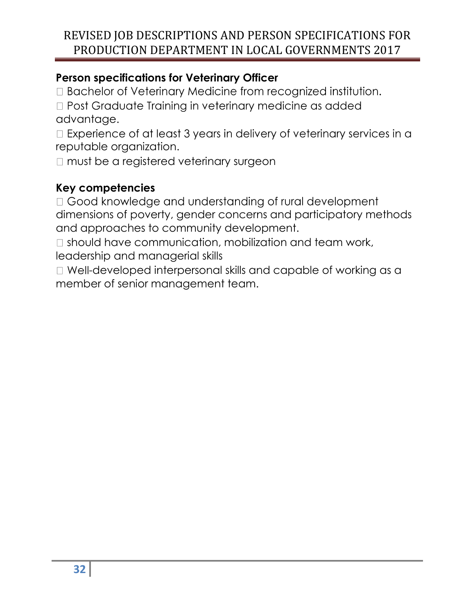## **Person specifications for Veterinary Officer**

□ Bachelor of Veterinary Medicine from recognized institution.

□ Post Graduate Training in veterinary medicine as added advantage.

□ Experience of at least 3 years in delivery of veterinary services in a reputable organization.

□ must be a registered veterinary surgeon

## **Key competencies**

□ Good knowledge and understanding of rural development dimensions of poverty, gender concerns and participatory methods and approaches to community development.

 $\Box$  should have communication, mobilization and team work, leadership and managerial skills

 $\Box$  Well-developed interpersonal skills and capable of working as a member of senior management team.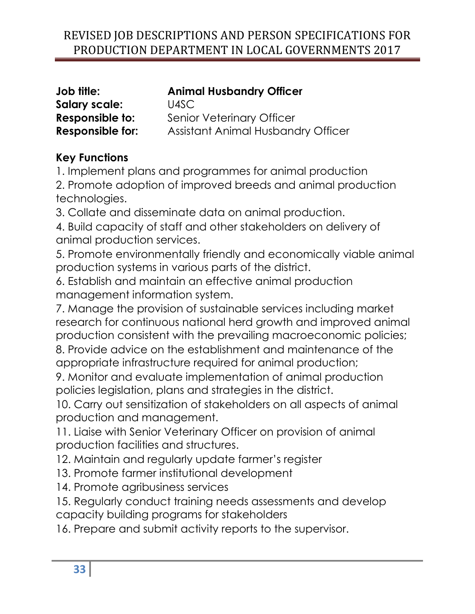| Job title:              | <b>Animal Husbandry Officer</b>           |
|-------------------------|-------------------------------------------|
| <b>Salary scale:</b>    | U4SC                                      |
| Responsible to:         | <b>Senior Veterinary Officer</b>          |
| <b>Responsible for:</b> | <b>Assistant Animal Husbandry Officer</b> |

## **Key Functions**

1. Implement plans and programmes for animal production 2. Promote adoption of improved breeds and animal production technologies.

3. Collate and disseminate data on animal production.

4. Build capacity of staff and other stakeholders on delivery of animal production services.

5. Promote environmentally friendly and economically viable animal production systems in various parts of the district.

6. Establish and maintain an effective animal production management information system.

7. Manage the provision of sustainable services including market research for continuous national herd growth and improved animal production consistent with the prevailing macroeconomic policies;

8. Provide advice on the establishment and maintenance of the appropriate infrastructure required for animal production;

9. Monitor and evaluate implementation of animal production policies legislation, plans and strategies in the district.

10. Carry out sensitization of stakeholders on all aspects of animal production and management.

11. Liaise with Senior Veterinary Officer on provision of animal production facilities and structures.

12. Maintain and regularly update farmer's register

13. Promote farmer institutional development

14. Promote agribusiness services

15. Regularly conduct training needs assessments and develop capacity building programs for stakeholders

16. Prepare and submit activity reports to the supervisor.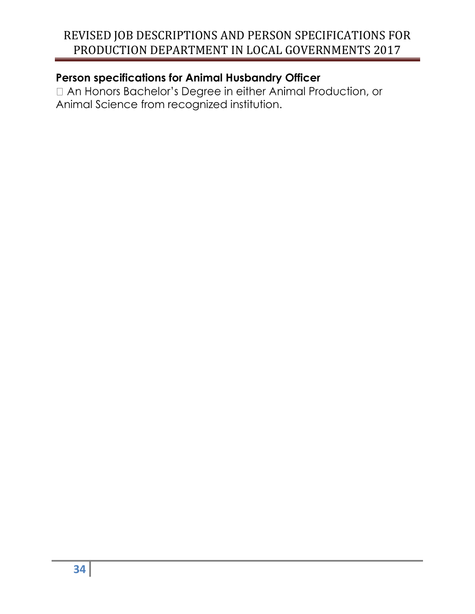**Person specifications for Animal Husbandry Officer**<br>  $\Box$  An Honors Bachelor's Degree in either Animal Production, or Animal Science from recognized institution.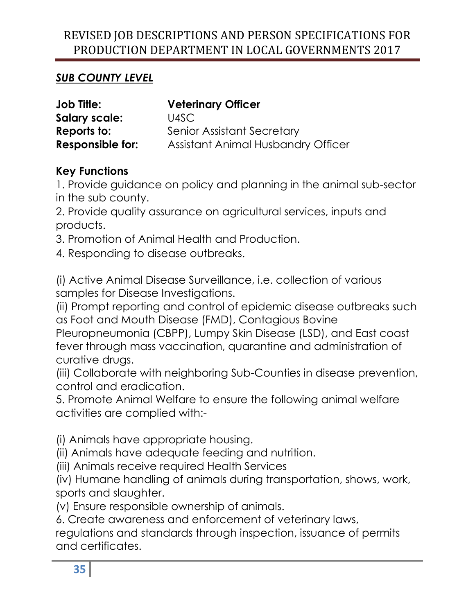## *SUB COUNTY LEVEL*

| <b>Job Title:</b>       | <b>Veterinary Officer</b>          |
|-------------------------|------------------------------------|
| Salary scale:           | U4SC                               |
| Reports to:             | <b>Senior Assistant Secretary</b>  |
| <b>Responsible for:</b> | Assistant Animal Husbandry Officer |

## **Key Functions**

1. Provide guidance on policy and planning in the animal sub-sector in the sub county.

2. Provide quality assurance on agricultural services, inputs and products.

3. Promotion of Animal Health and Production.

4. Responding to disease outbreaks.

(i) Active Animal Disease Surveillance, i.e. collection of various samples for Disease Investigations.

(ii) Prompt reporting and control of epidemic disease outbreaks such as Foot and Mouth Disease (FMD), Contagious Bovine Pleuropneumonia (CBPP), Lumpy Skin Disease (LSD), and East coast fever through mass vaccination, quarantine and administration of curative drugs.

(iii) Collaborate with neighboring Sub-Counties in disease prevention, control and eradication.

5. Promote Animal Welfare to ensure the following animal welfare activities are complied with:-

(i) Animals have appropriate housing.

(ii) Animals have adequate feeding and nutrition.

(iii) Animals receive required Health Services

(iv) Humane handling of animals during transportation, shows, work, sports and slaughter.

(v) Ensure responsible ownership of animals.

6. Create awareness and enforcement of veterinary laws, regulations and standards through inspection, issuance of permits and certificates.